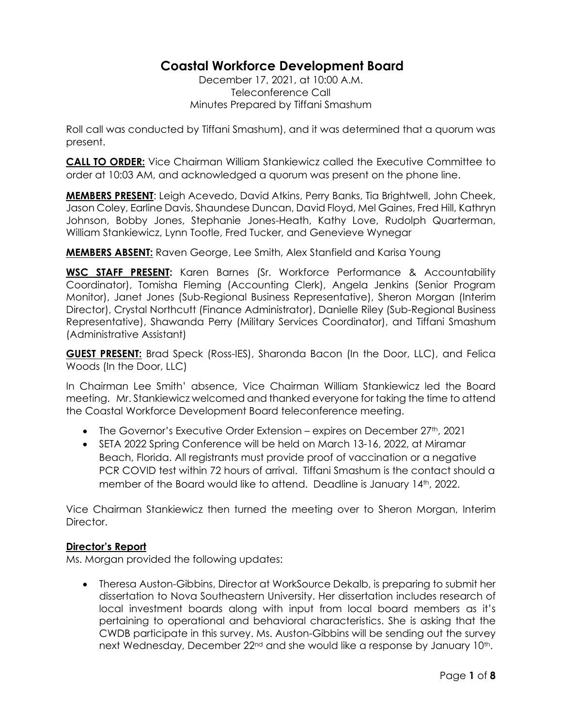# **Coastal Workforce Development Board**

December 17, 2021, at 10:00 A.M. Teleconference Call Minutes Prepared by Tiffani Smashum

Roll call was conducted by Tiffani Smashum), and it was determined that a quorum was present.

**CALL TO ORDER:** Vice Chairman William Stankiewicz called the Executive Committee to order at 10:03 AM, and acknowledged a quorum was present on the phone line.

**MEMBERS PRESENT**: Leigh Acevedo, David Atkins, Perry Banks, Tia Brightwell, John Cheek, Jason Coley, Earline Davis, Shaundese Duncan, David Floyd, Mel Gaines, Fred Hill, Kathryn Johnson, Bobby Jones, Stephanie Jones-Heath, Kathy Love, Rudolph Quarterman, William Stankiewicz, Lynn Tootle, Fred Tucker, and Genevieve Wynegar

**MEMBERS ABSENT:** Raven George, Lee Smith, Alex Stanfield and Karisa Young

**WSC STAFF PRESENT:** Karen Barnes (Sr. Workforce Performance & Accountability Coordinator), Tomisha Fleming (Accounting Clerk), Angela Jenkins (Senior Program Monitor), Janet Jones (Sub-Regional Business Representative), Sheron Morgan (Interim Director), Crystal Northcutt (Finance Administrator), Danielle Riley (Sub-Regional Business Representative), Shawanda Perry (Military Services Coordinator), and Tiffani Smashum (Administrative Assistant)

**GUEST PRESENT:** Brad Speck (Ross-IES), Sharonda Bacon (In the Door, LLC), and Felica Woods (In the Door, LLC)

In Chairman Lee Smith' absence, Vice Chairman William Stankiewicz led the Board meeting. Mr. Stankiewicz welcomed and thanked everyone for taking the time to attend the Coastal Workforce Development Board teleconference meeting.

- The Governor's Executive Order Extension expires on December  $27<sup>th</sup>$ , 2021
- SETA 2022 Spring Conference will be held on March 13-16, 2022, at Miramar Beach, Florida. All registrants must provide proof of vaccination or a negative PCR COVID test within 72 hours of arrival. Tiffani Smashum is the contact should a member of the Board would like to attend. Deadline is January 14<sup>th</sup>, 2022.

Vice Chairman Stankiewicz then turned the meeting over to Sheron Morgan, Interim Director.

#### **Director's Report**

Ms. Morgan provided the following updates:

• Theresa Auston-Gibbins, Director at WorkSource Dekalb, is preparing to submit her dissertation to Nova Southeastern University. Her dissertation includes research of local investment boards along with input from local board members as it's pertaining to operational and behavioral characteristics. She is asking that the CWDB participate in this survey. Ms. Auston-Gibbins will be sending out the survey next Wednesday, December 22<sup>nd</sup> and she would like a response by January 10<sup>th</sup>.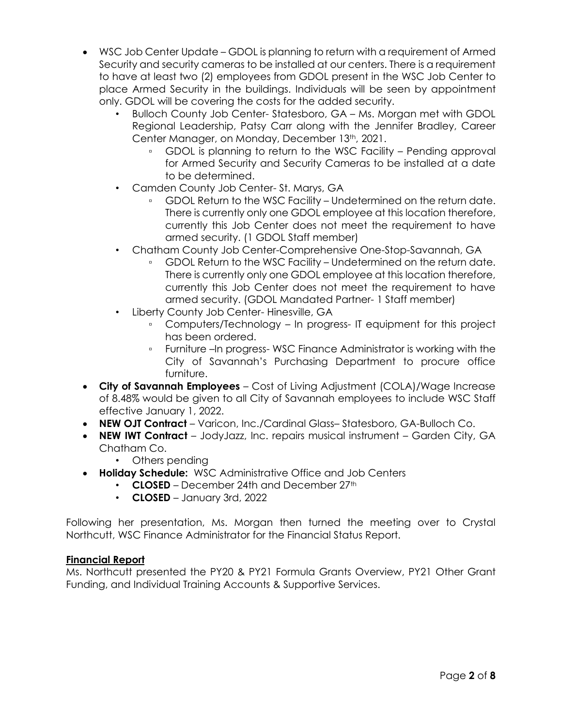- WSC Job Center Update GDOL is planning to return with a requirement of Armed Security and security cameras to be installed at our centers. There is a requirement to have at least two (2) employees from GDOL present in the WSC Job Center to place Armed Security in the buildings. Individuals will be seen by appointment only. GDOL will be covering the costs for the added security.
	- Bulloch County Job Center- Statesboro, GA Ms. Morgan met with GDOL Regional Leadership, Patsy Carr along with the Jennifer Bradley, Career Center Manager, on Monday, December 13<sup>th</sup>, 2021.
		- GDOL is planning to return to the WSC Facility Pending approval for Armed Security and Security Cameras to be installed at a date to be determined.
	- Camden County Job Center- St. Marys, GA
		- GDOL Return to the WSC Facility Undetermined on the return date. There is currently only one GDOL employee at this location therefore, currently this Job Center does not meet the requirement to have armed security. (1 GDOL Staff member)
	- Chatham County Job Center-Comprehensive One-Stop-Savannah, GA
		- GDOL Return to the WSC Facility Undetermined on the return date. There is currently only one GDOL employee at this location therefore, currently this Job Center does not meet the requirement to have armed security. (GDOL Mandated Partner- 1 Staff member)
	- Liberty County Job Center- Hinesville, GA
		- Computers/Technology In progress- IT equipment for this project has been ordered.
		- Furniture –In progress- WSC Finance Administrator is working with the City of Savannah's Purchasing Department to procure office furniture.
- **City of Savannah Employees**  Cost of Living Adjustment (COLA)/Wage Increase of 8.48% would be given to all City of Savannah employees to include WSC Staff effective January 1, 2022.
- **NEW OJT Contract**  Varicon, Inc./Cardinal Glass– Statesboro, GA-Bulloch Co.
- **NEW IWT Contract** JodyJazz, Inc. repairs musical instrument Garden City, GA Chatham Co.
	- Others pending
- **Holiday Schedule:** WSC Administrative Office and Job Centers
	- **CLOSED** December 24th and December 27<sup>th</sup>
	- **CLOSED** January 3rd, 2022

Following her presentation, Ms. Morgan then turned the meeting over to Crystal Northcutt, WSC Finance Administrator for the Financial Status Report.

## **Financial Report**

Ms. Northcutt presented the PY20 & PY21 Formula Grants Overview, PY21 Other Grant Funding, and Individual Training Accounts & Supportive Services.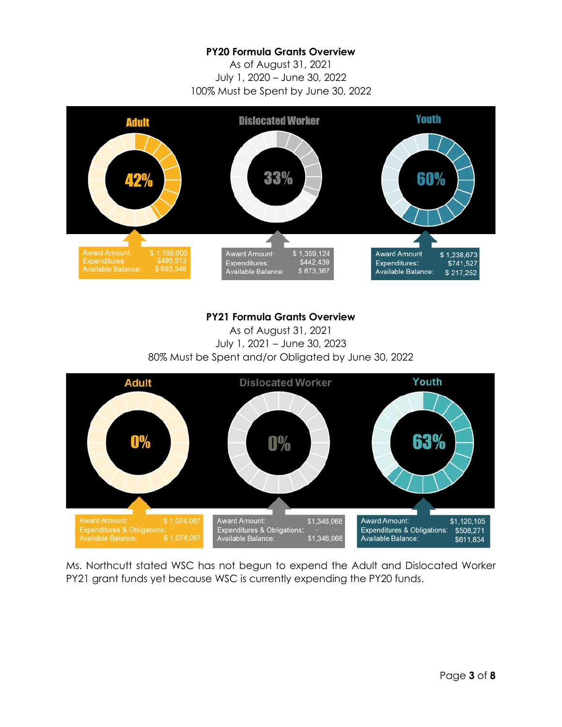## **PY20 Formula Grants Overview**

As of August 31, 2021 July 1, 2020 – June 30, 2022 100% Must be Spent by June 30, 2022



#### **PY21 Formula Grants Overview**

As of August 31, 2021 July 1, 2021 – June 30, 2023 80% Must be Spent and/or Obligated by June 30, 2022



Ms. Northcutt stated WSC has not begun to expend the Adult and Dislocated Worker PY21 grant funds yet because WSC is currently expending the PY20 funds.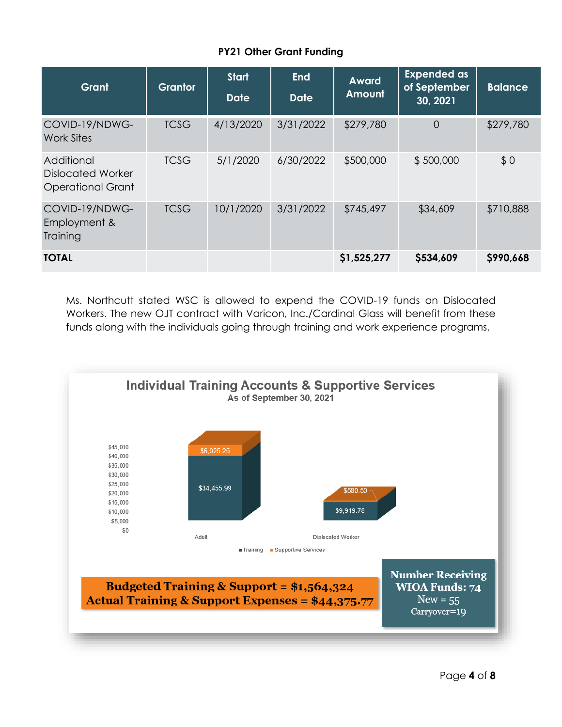# **PY21 Other Grant Funding**

| Grant                                                              | <b>Grantor</b> | <b>Start</b><br><b>Date</b> | <b>End</b><br><b>Date</b> | <b>Award</b><br>Amount | <b>Expended as</b><br>of September<br>30, 2021 | <b>Balance</b> |
|--------------------------------------------------------------------|----------------|-----------------------------|---------------------------|------------------------|------------------------------------------------|----------------|
| COVID-19/NDWG-<br><b>Work Sites</b>                                | <b>TCSG</b>    | 4/13/2020                   | 3/31/2022                 | \$279,780              | $\overline{0}$                                 | \$279,780      |
| Additional<br><b>Dislocated Worker</b><br><b>Operational Grant</b> | <b>TCSG</b>    | 5/1/2020                    | 6/30/2022                 | \$500,000              | \$500,000                                      | \$0            |
| COVID-19/NDWG-<br>Employment &<br>Training                         | <b>TCSG</b>    | 10/1/2020                   | 3/31/2022                 | \$745,497              | \$34,609                                       | \$710,888      |
| <b>TOTAL</b>                                                       |                |                             |                           | \$1,525,277            | \$534,609                                      | \$990,668      |

Ms. Northcutt stated WSC is allowed to expend the COVID-19 funds on Dislocated Workers. The new OJT contract with Varicon, Inc./Cardinal Glass will benefit from these funds along with the individuals going through training and work experience programs.

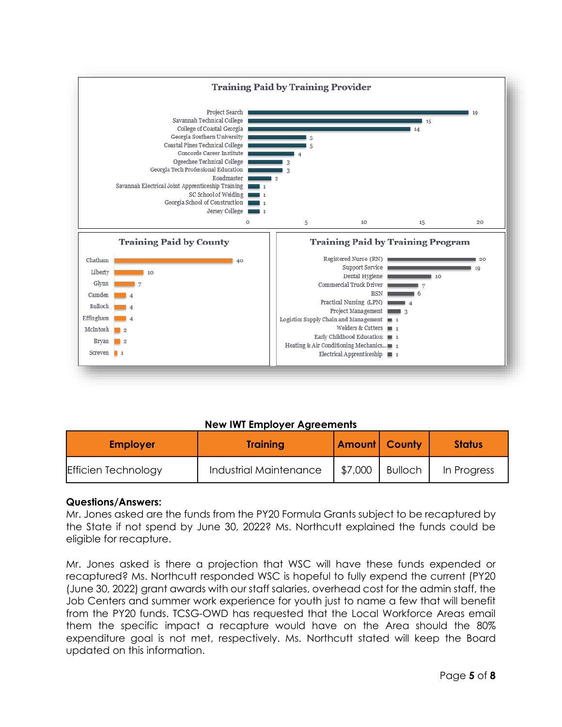

## **New IWT Employer Agreements**

| <b>Employer</b>            | <b>Training</b>        | <b>Amount County</b> |                | <b>Status</b> |
|----------------------------|------------------------|----------------------|----------------|---------------|
| <b>Efficien Technology</b> | Industrial Maintenance | \$7,000              | <b>Bulloch</b> | In Progress   |

#### **Questions/Answers:**

Mr. Jones asked are the funds from the PY20 Formula Grants subject to be recaptured by the State if not spend by June 30, 2022? Ms. Northcutt explained the funds could be eligible for recapture.

Mr. Jones asked is there a projection that WSC will have these funds expended or recaptured? Ms. Northcutt responded WSC is hopeful to fully expend the current (PY20 (June 30, 2022) grant awards with our staff salaries, overhead cost for the admin staff, the Job Centers and summer work experience for youth just to name a few that will benefit from the PY20 funds. TCSG-OWD has requested that the Local Workforce Areas email them the specific impact a recapture would have on the Area should the 80% expenditure goal is not met, respectively. Ms. Northcutt stated will keep the Board updated on this information.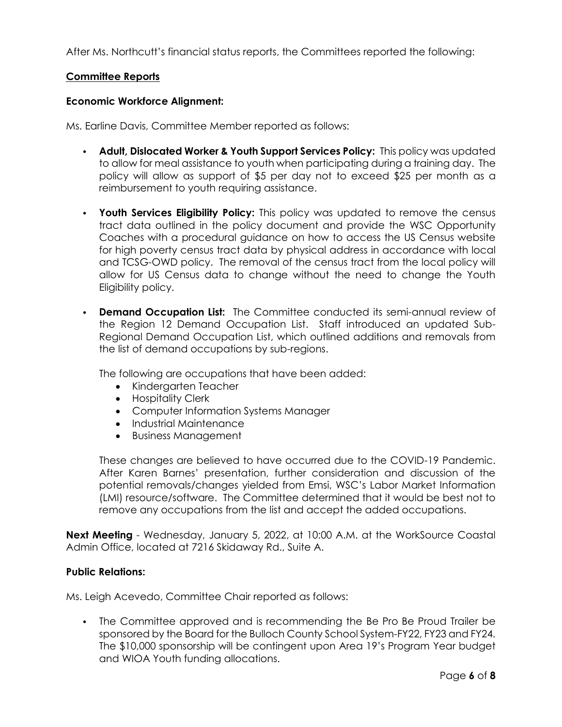After Ms. Northcutt's financial status reports, the Committees reported the following:

## **Committee Reports**

#### **Economic Workforce Alignment:**

Ms. Earline Davis, Committee Member reported as follows:

- **Adult, Dislocated Worker & Youth Support Services Policy:** This policy was updated to allow for meal assistance to youth when participating during a training day. The policy will allow as support of \$5 per day not to exceed \$25 per month as a reimbursement to youth requiring assistance.
- **Youth Services Eligibility Policy:** This policy was updated to remove the census tract data outlined in the policy document and provide the WSC Opportunity Coaches with a procedural guidance on how to access the US Census website for high poverty census tract data by physical address in accordance with local and TCSG-OWD policy. The removal of the census tract from the local policy will allow for US Census data to change without the need to change the Youth Eligibility policy.
- **Demand Occupation List:** The Committee conducted its semi-annual review of the Region 12 Demand Occupation List. Staff introduced an updated Sub-Regional Demand Occupation List, which outlined additions and removals from the list of demand occupations by sub-regions.

The following are occupations that have been added:

- Kindergarten Teacher
- Hospitality Clerk
- Computer Information Systems Manager
- Industrial Maintenance
- Business Management

These changes are believed to have occurred due to the COVID-19 Pandemic. After Karen Barnes' presentation, further consideration and discussion of the potential removals/changes yielded from Emsi, WSC's Labor Market Information (LMI) resource/software. The Committee determined that it would be best not to remove any occupations from the list and accept the added occupations.

**Next Meeting** - Wednesday, January 5, 2022, at 10:00 A.M. at the WorkSource Coastal Admin Office, located at 7216 Skidaway Rd., Suite A.

#### **Public Relations:**

Ms. Leigh Acevedo, Committee Chair reported as follows:

• The Committee approved and is recommending the Be Pro Be Proud Trailer be sponsored by the Board for the Bulloch County School System-FY22, FY23 and FY24. The \$10,000 sponsorship will be contingent upon Area 19's Program Year budget and WIOA Youth funding allocations.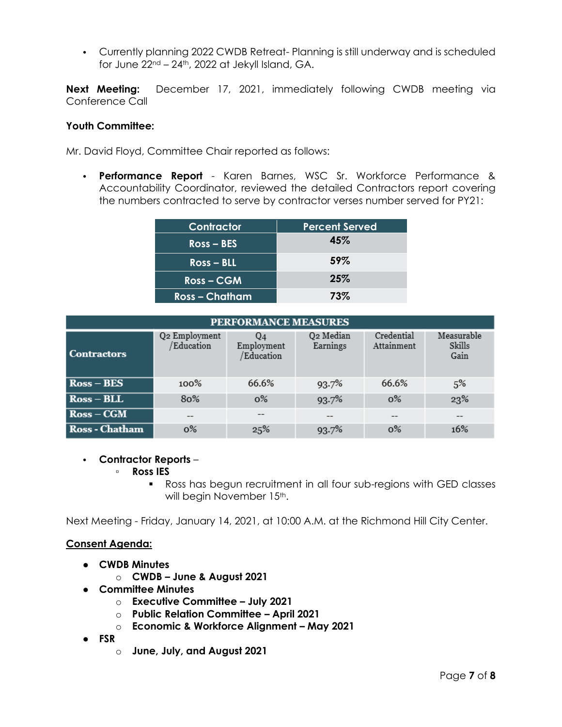• Currently planning 2022 CWDB Retreat- Planning is still underway and is scheduled for June  $22^{nd} - 24^{th}$ , 2022 at Jekyll Island, GA.

**Next Meeting:** December 17, 2021, immediately following CWDB meeting via Conference Call

#### **Youth Committee:**

Mr. David Floyd, Committee Chair reported as follows:

• **Performance Report** - Karen Barnes, WSC Sr. Workforce Performance & Accountability Coordinator, reviewed the detailed Contractors report covering the numbers contracted to serve by contractor verses number served for PY21:

| Contractor      | <b>Percent Served</b> |  |  |
|-----------------|-----------------------|--|--|
| $Ross - BES$    | 45%                   |  |  |
| $Ross - BLL$    | 59%                   |  |  |
| <b>Ross-CGM</b> | 25%                   |  |  |
| Ross – Chatham  | 73%                   |  |  |

| <b>PERFORMANCE MEASURES</b> |                            |                                |                       |                          |                              |  |  |
|-----------------------------|----------------------------|--------------------------------|-----------------------|--------------------------|------------------------------|--|--|
| <b>Contractors</b>          | Q2 Employment<br>Education | Q4<br>Employment<br>/Education | Q2 Median<br>Earnings | Credential<br>Attainment | Measurable<br>Skills<br>Gain |  |  |
| $Ross - BES$                | 100%                       | 66.6%                          | 93.7%                 | 66.6%                    | $5\%$                        |  |  |
| $Ross - BLL$                | 80%                        | $0\%$                          | 93.7%                 | $0\%$                    | 23%                          |  |  |
| $Ross - CGM$                | --                         |                                | --                    | --                       | --                           |  |  |
| Ross - Chatham              | $0\%$                      | 25%                            | 93.7%                 | $0\%$                    | 16%                          |  |  |

#### • **Contractor Reports** –

- **Ross IES**
	- Ross has begun recruitment in all four sub-regions with GED classes will begin November 15<sup>th</sup>.

Next Meeting - Friday, January 14, 2021, at 10:00 A.M. at the Richmond Hill City Center.

#### **Consent Agenda:**

- **CWDB Minutes**
	- o **CWDB – June & August 2021**
- **Committee Minutes**
	- o **Executive Committee – July 2021**
	- o **Public Relation Committee – April 2021**
	- o **Economic & Workforce Alignment – May 2021**
- **FSR**
	- o **June, July, and August 2021**